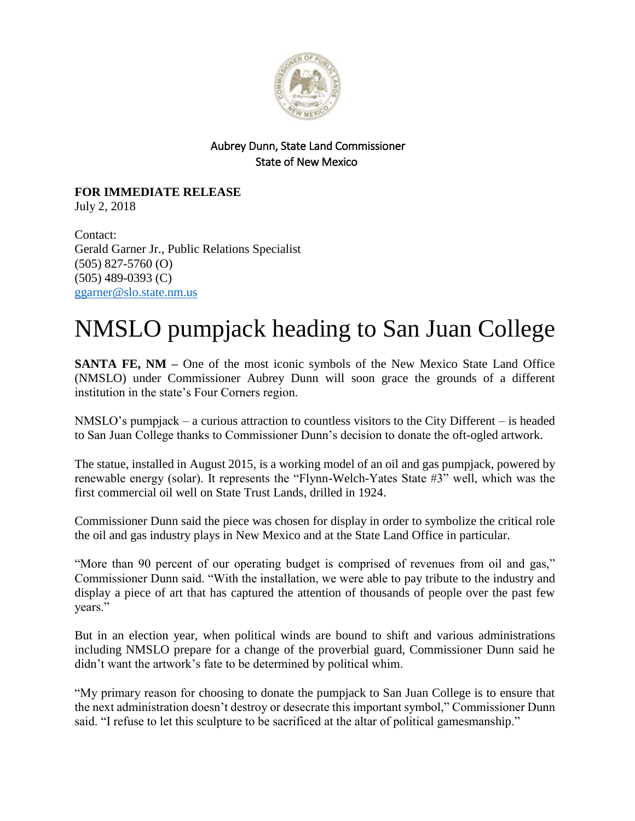

## Aubrey Dunn, State Land Commissioner State of New Mexico

## **FOR IMMEDIATE RELEASE** July 2, 2018

Contact: Gerald Garner Jr., Public Relations Specialist (505) 827-5760 (O) (505) 489-0393 (C) [ggarner@slo.state.nm.us](mailto:ggarner@slo.state.nm.us)

## NMSLO pumpjack heading to San Juan College

**SANTA FE, NM –** One of the most iconic symbols of the New Mexico State Land Office (NMSLO) under Commissioner Aubrey Dunn will soon grace the grounds of a different institution in the state's Four Corners region.

NMSLO's pumpjack – a curious attraction to countless visitors to the City Different – is headed to San Juan College thanks to Commissioner Dunn's decision to donate the oft-ogled artwork.

The statue, installed in August 2015, is a working model of an oil and gas pumpjack, powered by renewable energy (solar). It represents the "Flynn-Welch-Yates State #3" well, which was the first commercial oil well on State Trust Lands, drilled in 1924.

Commissioner Dunn said the piece was chosen for display in order to symbolize the critical role the oil and gas industry plays in New Mexico and at the State Land Office in particular.

"More than 90 percent of our operating budget is comprised of revenues from oil and gas," Commissioner Dunn said. "With the installation, we were able to pay tribute to the industry and display a piece of art that has captured the attention of thousands of people over the past few years."

But in an election year, when political winds are bound to shift and various administrations including NMSLO prepare for a change of the proverbial guard, Commissioner Dunn said he didn't want the artwork's fate to be determined by political whim.

"My primary reason for choosing to donate the pumpjack to San Juan College is to ensure that the next administration doesn't destroy or desecrate this important symbol," Commissioner Dunn said. "I refuse to let this sculpture to be sacrificed at the altar of political gamesmanship."